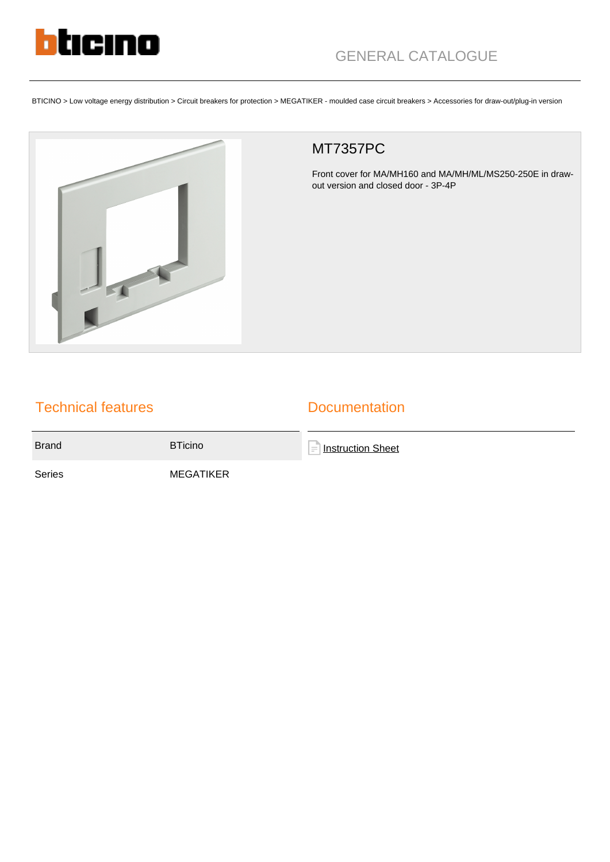

BTICINO > Low voltage energy distribution > Circuit breakers for protection > MEGATIKER - moulded case circuit breakers > Accessories for draw-out/plug-in version



## MT7357PC

Front cover for MA/MH160 and MA/MH/ML/MS250-250E in drawout version and closed door - 3P-4P

## Technical features

## **Documentation**

Brand BTicino

**[Instruction Sheet](https://catalogue.bticino.com/app/webroot/low_res/489994_509546_LE04289AA.pdf)** 

Series MEGATIKER